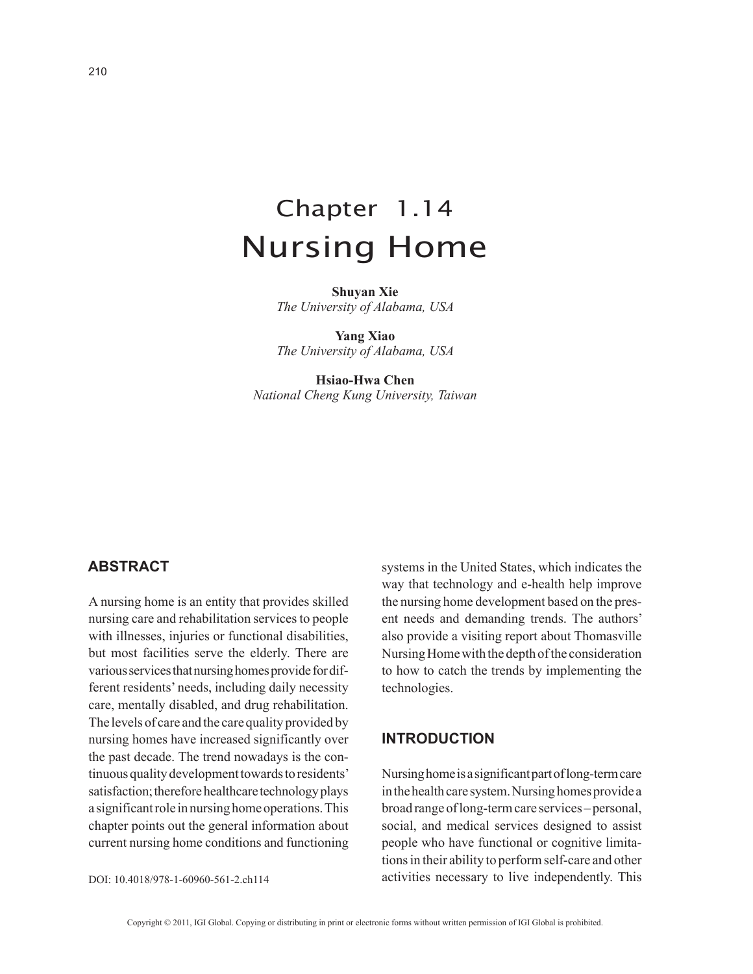# Chapter 1.14 Nursing Home

**Shuyan Xie** *The University of Alabama, USA*

**Yang Xiao** *The University of Alabama, USA*

**Hsiao-Hwa Chen** *National Cheng Kung University, Taiwan*

### **AbstrAct**

A nursing home is an entity that provides skilled nursing care and rehabilitation services to people with illnesses, injuries or functional disabilities, but most facilities serve the elderly. There are various services that nursing homes provide for different residents' needs, including daily necessity care, mentally disabled, and drug rehabilitation. The levels of care and the care quality provided by nursing homes have increased significantly over the past decade. The trend nowadays is the continuous quality development towards to residents' satisfaction; therefore healthcare technology plays a significant role in nursing home operations. This chapter points out the general information about current nursing home conditions and functioning

DOI: 10.4018/978-1-60960-561-2.ch114

systems in the United States, which indicates the way that technology and e-health help improve the nursing home development based on the present needs and demanding trends. The authors' also provide a visiting report about Thomasville Nursing Home with the depth of the consideration to how to catch the trends by implementing the technologies.

#### **introduction**

Nursing home is a significant part of long-term care in the health care system. Nursing homes provide a broad range of long-term care services – personal, social, and medical services designed to assist people who have functional or cognitive limitations in their ability to perform self-care and other activities necessary to live independently. This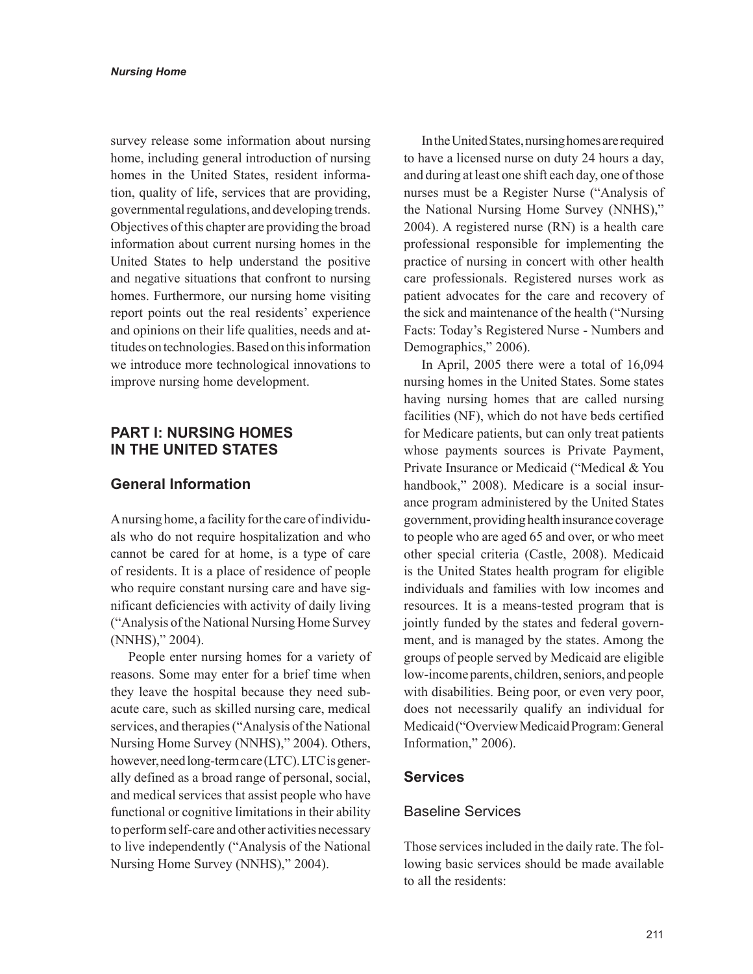survey release some information about nursing home, including general introduction of nursing homes in the United States, resident information, quality of life, services that are providing, governmental regulations, and developing trends. Objectives of this chapter are providing the broad information about current nursing homes in the United States to help understand the positive and negative situations that confront to nursing homes. Furthermore, our nursing home visiting report points out the real residents' experience and opinions on their life qualities, needs and attitudes on technologies. Based on this information we introduce more technological innovations to improve nursing home development.

## **pArt i: nursing homes in the united stAtes**

## **general information**

A nursing home, a facility for the care of individuals who do not require hospitalization and who cannot be cared for at home, is a type of care of residents. It is a place of residence of people who require constant nursing care and have significant deficiencies with activity of daily living ("Analysis of the National Nursing Home Survey (NNHS)," 2004).

People enter nursing homes for a variety of reasons. Some may enter for a brief time when they leave the hospital because they need subacute care, such as skilled nursing care, medical services, and therapies ("Analysis of the National Nursing Home Survey (NNHS)," 2004). Others, however, need long-term care (LTC). LTC is generally defined as a broad range of personal, social, and medical services that assist people who have functional or cognitive limitations in their ability to perform self-care and other activities necessary to live independently ("Analysis of the National Nursing Home Survey (NNHS)," 2004).

In the United States, nursing homes are required to have a licensed nurse on duty 24 hours a day, and during at least one shift each day, one of those nurses must be a Register Nurse ("Analysis of the National Nursing Home Survey (NNHS)," 2004). A registered nurse (RN) is a health care professional responsible for implementing the practice of nursing in concert with other health care professionals. Registered nurses work as patient advocates for the care and recovery of the sick and maintenance of the health ("Nursing Facts: Today's Registered Nurse - Numbers and Demographics," 2006).

In April, 2005 there were a total of 16,094 nursing homes in the United States. Some states having nursing homes that are called nursing facilities (NF), which do not have beds certified for Medicare patients, but can only treat patients whose payments sources is Private Payment, Private Insurance or Medicaid ("Medical & You handbook," 2008). Medicare is a social insurance program administered by the United States government, providing health insurance coverage to people who are aged 65 and over, or who meet other special criteria (Castle, 2008). Medicaid is the United States health program for eligible individuals and families with low incomes and resources. It is a means-tested program that is jointly funded by the states and federal government, and is managed by the states. Among the groups of people served by Medicaid are eligible low-income parents, children, seniors, and people with disabilities. Being poor, or even very poor, does not necessarily qualify an individual for Medicaid ("Overview Medicaid Program: General Information," 2006).

## **services**

## Baseline Services

Those services included in the daily rate. The following basic services should be made available to all the residents: